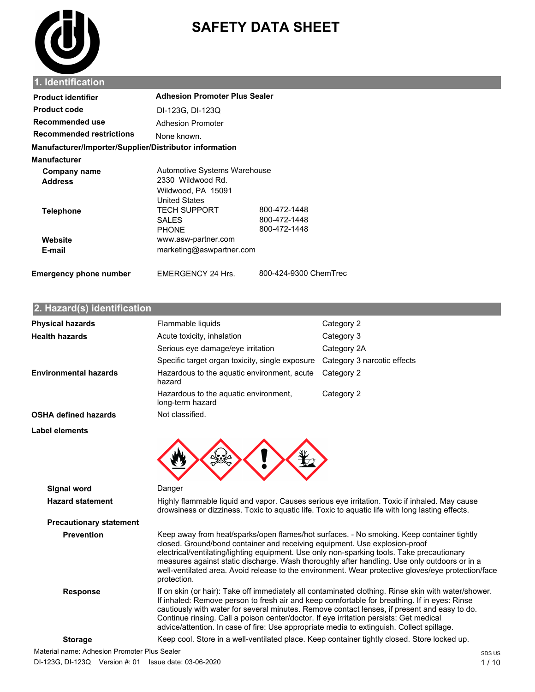

# **SAFETY DATA SHEET**

| <b>Product identifier</b>                              | <b>Adhesion Promoter Plus Sealer</b>                                                                                   |                              |
|--------------------------------------------------------|------------------------------------------------------------------------------------------------------------------------|------------------------------|
| <b>Product code</b>                                    | DI-123G, DI-123Q                                                                                                       |                              |
| Recommended use                                        | Adhesion Promoter                                                                                                      |                              |
| <b>Recommended restrictions</b>                        | None known.                                                                                                            |                              |
| Manufacturer/Importer/Supplier/Distributor information |                                                                                                                        |                              |
| <b>Manufacturer</b>                                    |                                                                                                                        |                              |
| Company name<br><b>Address</b>                         | Automotive Systems Warehouse<br>2330 Wildwood Rd.<br>Wildwood, PA 15091<br><b>United States</b><br><b>TECH SUPPORT</b> | 800-472-1448                 |
| <b>Telephone</b>                                       | <b>SALES</b><br><b>PHONE</b>                                                                                           | 800-472-1448<br>800-472-1448 |
| Website                                                | www.asw-partner.com                                                                                                    |                              |
| E-mail                                                 | marketing@aswpartner.com                                                                                               |                              |
| <b>Emergency phone number</b>                          | EMERGENCY 24 Hrs.                                                                                                      | 800-424-9300 ChemTrec        |

# **2. Hazard(s) identification**

| <b>Physical hazards</b>                       | Flammable liquids                                                                                                                                                                                                                                                                                                                                                                   | Category 2                                                                                                                                                                                         |
|-----------------------------------------------|-------------------------------------------------------------------------------------------------------------------------------------------------------------------------------------------------------------------------------------------------------------------------------------------------------------------------------------------------------------------------------------|----------------------------------------------------------------------------------------------------------------------------------------------------------------------------------------------------|
| <b>Health hazards</b>                         | Acute toxicity, inhalation                                                                                                                                                                                                                                                                                                                                                          | Category 3                                                                                                                                                                                         |
|                                               | Serious eye damage/eye irritation                                                                                                                                                                                                                                                                                                                                                   | Category 2A                                                                                                                                                                                        |
|                                               | Specific target organ toxicity, single exposure                                                                                                                                                                                                                                                                                                                                     | Category 3 narcotic effects                                                                                                                                                                        |
| <b>Environmental hazards</b>                  | Hazardous to the aquatic environment, acute<br>hazard                                                                                                                                                                                                                                                                                                                               | Category 2                                                                                                                                                                                         |
|                                               | Hazardous to the aquatic environment,<br>long-term hazard                                                                                                                                                                                                                                                                                                                           | Category 2                                                                                                                                                                                         |
| <b>OSHA defined hazards</b>                   | Not classified.                                                                                                                                                                                                                                                                                                                                                                     |                                                                                                                                                                                                    |
| Label elements                                |                                                                                                                                                                                                                                                                                                                                                                                     |                                                                                                                                                                                                    |
| <b>Signal word</b><br><b>Hazard statement</b> | Danger<br>Highly flammable liquid and vapor. Causes serious eye irritation. Toxic if inhaled. May cause<br>drowsiness or dizziness. Toxic to aquatic life. Toxic to aquatic life with long lasting effects.                                                                                                                                                                         |                                                                                                                                                                                                    |
| <b>Precautionary statement</b>                |                                                                                                                                                                                                                                                                                                                                                                                     |                                                                                                                                                                                                    |
| <b>Prevention</b>                             | Keep away from heat/sparks/open flames/hot surfaces. - No smoking. Keep container tightly<br>closed. Ground/bond container and receiving equipment. Use explosion-proof<br>electrical/ventilating/lighting equipment. Use only non-sparking tools. Take precautionary<br>protection.                                                                                                | measures against static discharge. Wash thoroughly after handling. Use only outdoors or in a<br>well-ventilated area. Avoid release to the environment. Wear protective gloves/eye protection/face |
| <b>Response</b>                               | If inhaled: Remove person to fresh air and keep comfortable for breathing. If in eyes: Rinse<br>cautiously with water for several minutes. Remove contact lenses, if present and easy to do.<br>Continue rinsing. Call a poison center/doctor. If eye irritation persists: Get medical<br>advice/attention. In case of fire: Use appropriate media to extinguish. Collect spillage. | If on skin (or hair): Take off immediately all contaminated clothing. Rinse skin with water/shower.                                                                                                |
| <b>Storage</b>                                | Keep cool. Store in a well-ventilated place. Keep container tightly closed. Store locked up.                                                                                                                                                                                                                                                                                        |                                                                                                                                                                                                    |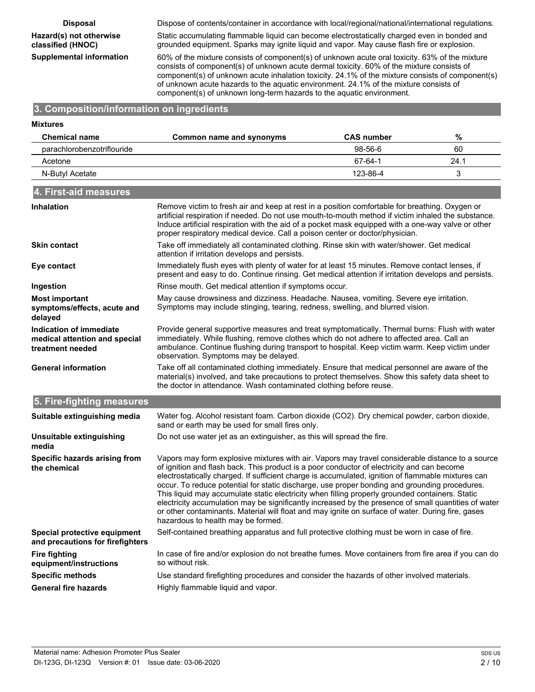# **Eazard(s) not otherwise classified (ENOC)**

**Disposal** Dispose of contents/container in accordance with local/regional/national/international regulations.

Static accumulating flammable liquid can become electrostatically charged even in bonded and grounded equipment. Sparks may ignite liquid and vapor. May cause flash fire or explosion.

**Supplemental information** 60% of the mixture consists of component(s) of unknown acute oral toxicity. 63% of the mixture consists of component(s) of unknown acute dermal toxicity. 60% of the mixture consists of component(s) of unknown acute inhalation toxicity. 24.1% of the mixture consists of component(s) of unknown acute hazards to the aquatic environment. 24.1% of the mixture consists of component(s) of unknown long-term hazards to the aquatic environment.

#### **3. Composition/information on ingredients**

#### **Mixtures Chemical name Common name and synonyms CAS number %** parachlorobenzotriflouride 98-56-6 60 Acetone 67-64-1 24.1 N-Butyl Acetate 3 and 3 and 3 and 3 and 3 and 3 and 4 and 4 and 4 and 4 and 4 and 4 and 4 and 4 and 4 and 4 and 4 and 4 and 4 and 4 and 4 and 4 and 4 and 4 and 4 and 4 and 4 and 4 and 4 and 4 and 4 and 4 and 4 and 4 and 4 **4. First-aid measures** Remove victim to fresh air and keep at rest in a position comfortable for breathing. Oxygen or artificial respiration if needed. Do not use mouth-to-mouth method if victim inhaled the substance. Induce artificial respiration with the aid of a pocket mask equipped with a one-way valve or other proper respiratory medical device. Call a poison center or doctor/physician. **Inhalation** Take off immediately all contaminated clothing. Rinse skin with water/shower. Get medical attention if irritation develops and persists. **Skin contact** Immediately flush eyes with plenty of water for at least 15 minutes. Remove contact lenses, if present and easy to do. Continue rinsing. Get medical attention if irritation develops and persists. **Eye contact Ingestion Rinse mouth. Get medical attention if symptoms occur.** May cause drowsiness and dizziness. Headache. Nausea, vomiting. Severe eye irritation. Symptoms may include stinging, tearing, redness, swelling, and blurred vision. **Most important symptoms/effects, acute and delayed** Provide general supportive measures and treat symptomatically. Thermal burns: Flush with water immediately. While flushing, remove clothes which do not adhere to affected area. Call an ambulance. Continue flushing during transport to hospital. Keep victim warm. Keep victim under observation. Symptoms may be delayed. **Indication of immediate medical attention and special treatment needed** Take off all contaminated clothing immediately. Ensure that medical personnel are aware of the material(s) involved, and take precautions to protect themselves. Show this safety data sheet to the doctor in attendance. Wash contaminated clothing before reuse. **General information 5. Fire-fighting measures** Water fog. Alcohol resistant foam. Carbon dioxide (CO2). Dry chemical powder, carbon dioxide, sand or earth may be used for small fires only. **Suitable extinguishing media Unsuitable extinguishing** Do not use water jet as an extinguisher, as this will spread the fire. **media** Vapors may form explosive mixtures with air. Vapors may travel considerable distance to a source of ignition and flash back. This product is a poor conductor of electricity and can become electrostatically charged. If sufficient charge is accumulated, ignition of flammable mixtures can occur. To reduce potential for static discharge, use proper bonding and grounding procedures. This liquid may accumulate static electricity when filling properly grounded containers. Static electricity accumulation may be significantly increased by the presence of small quantities of water or other contaminants. Material will float and may ignite on surface of water. During fire, gases hazardous to health may be formed. **Specific hazards arising from the chemical Special protective equipment** Self-contained breathing apparatus and full protective clothing must be worn in case of fire. **and precautions for firefighters** In case of fire and/or explosion do not breathe fumes. Move containers from fire area if you can do so without risk. **Fire fighting equipment/instructions Specific methods** Use standard firefighting procedures and consider the hazards of other involved materials. **General fire hazards** Highly flammable liquid and vapor.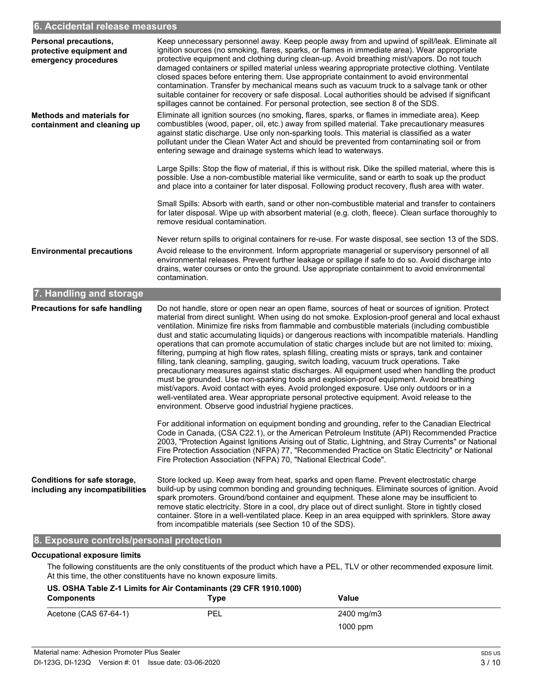#### **r. Accidental release measures**

| <b>Personal precautions,</b><br>protective equipment and<br>emergency procedures | Keep unnecessary personnel away. Keep people away from and upwind of spill/leak. Eliminate all<br>ignition sources (no smoking, flares, sparks, or flames in immediate area). Wear appropriate<br>protective equipment and clothing during clean-up. Avoid breathing mist/vapors. Do not touch<br>damaged containers or spilled material unless wearing appropriate protective clothing. Ventilate<br>closed spaces before entering them. Use appropriate containment to avoid environmental<br>contamination. Transfer by mechanical means such as vacuum truck to a salvage tank or other<br>suitable container for recovery or safe disposal. Local authorities should be advised if significant<br>spillages cannot be contained. For personal protection, see section 8 of the SDS.                                                                                                                                                                                                                                                                                                                                                                                    |
|----------------------------------------------------------------------------------|-----------------------------------------------------------------------------------------------------------------------------------------------------------------------------------------------------------------------------------------------------------------------------------------------------------------------------------------------------------------------------------------------------------------------------------------------------------------------------------------------------------------------------------------------------------------------------------------------------------------------------------------------------------------------------------------------------------------------------------------------------------------------------------------------------------------------------------------------------------------------------------------------------------------------------------------------------------------------------------------------------------------------------------------------------------------------------------------------------------------------------------------------------------------------------|
| <b>Methods and materials for</b><br>containment and cleaning up                  | Eliminate all ignition sources (no smoking, flares, sparks, or flames in immediate area). Keep<br>combustibles (wood, paper, oil, etc.) away from spilled material. Take precautionary measures<br>against static discharge. Use only non-sparking tools. This material is classified as a water<br>pollutant under the Clean Water Act and should be prevented from contaminating soil or from<br>entering sewage and drainage systems which lead to waterways.                                                                                                                                                                                                                                                                                                                                                                                                                                                                                                                                                                                                                                                                                                            |
|                                                                                  | Large Spills: Stop the flow of material, if this is without risk. Dike the spilled material, where this is<br>possible. Use a non-combustible material like vermiculite, sand or earth to soak up the product<br>and place into a container for later disposal. Following product recovery, flush area with water.                                                                                                                                                                                                                                                                                                                                                                                                                                                                                                                                                                                                                                                                                                                                                                                                                                                          |
|                                                                                  | Small Spills: Absorb with earth, sand or other non-combustible material and transfer to containers<br>for later disposal. Wipe up with absorbent material (e.g. cloth, fleece). Clean surface thoroughly to<br>remove residual contamination.                                                                                                                                                                                                                                                                                                                                                                                                                                                                                                                                                                                                                                                                                                                                                                                                                                                                                                                               |
| <b>Environmental precautions</b>                                                 | Never return spills to original containers for re-use. For waste disposal, see section 13 of the SDS.<br>Avoid release to the environment. Inform appropriate managerial or supervisory personnel of all<br>environmental releases. Prevent further leakage or spillage if safe to do so. Avoid discharge into<br>drains, water courses or onto the ground. Use appropriate containment to avoid environmental<br>contamination.                                                                                                                                                                                                                                                                                                                                                                                                                                                                                                                                                                                                                                                                                                                                            |
| 7. Handling and storage                                                          |                                                                                                                                                                                                                                                                                                                                                                                                                                                                                                                                                                                                                                                                                                                                                                                                                                                                                                                                                                                                                                                                                                                                                                             |
| <b>Precautions for safe handling</b>                                             | Do not handle, store or open near an open flame, sources of heat or sources of ignition. Protect<br>material from direct sunlight. When using do not smoke. Explosion-proof general and local exhaust<br>ventilation. Minimize fire risks from flammable and combustible materials (including combustible<br>dust and static accumulating liquids) or dangerous reactions with incompatible materials. Handling<br>operations that can promote accumulation of static charges include but are not limited to: mixing,<br>filtering, pumping at high flow rates, splash filling, creating mists or sprays, tank and container<br>filling, tank cleaning, sampling, gauging, switch loading, vacuum truck operations. Take<br>precautionary measures against static discharges. All equipment used when handling the product<br>must be grounded. Use non-sparking tools and explosion-proof equipment. Avoid breathing<br>mist/vapors. Avoid contact with eyes. Avoid prolonged exposure. Use only outdoors or in a<br>well-ventilated area. Wear appropriate personal protective equipment. Avoid release to the<br>environment. Observe good industrial hygiene practices. |
|                                                                                  | For additional information on equipment bonding and grounding, refer to the Canadian Electrical<br>Code in Canada, (CSA C22.1), or the American Petroleum Institute (API) Recommended Practice<br>2003, "Protection Against Ignitions Arising out of Static, Lightning, and Stray Currents" or National<br>Fire Protection Association (NFPA) 77, "Recommended Practice on Static Electricity" or National<br>Fire Protection Association (NFPA) 70, "National Electrical Code".                                                                                                                                                                                                                                                                                                                                                                                                                                                                                                                                                                                                                                                                                            |
| Conditions for safe storage,<br>including any incompatibilities                  | Store locked up. Keep away from heat, sparks and open flame. Prevent electrostatic charge<br>build-up by using common bonding and grounding techniques. Eliminate sources of ignition. Avoid<br>spark promoters. Ground/bond container and equipment. These alone may be insufficient to<br>remove static electricity. Store in a cool, dry place out of direct sunlight. Store in tightly closed<br>container. Store in a well-ventilated place. Keep in an area equipped with sprinklers. Store away<br>from incompatible materials (see Section 10 of the SDS).                                                                                                                                                                                                                                                                                                                                                                                                                                                                                                                                                                                                          |
| 8. Exposure controls/personal protection                                         |                                                                                                                                                                                                                                                                                                                                                                                                                                                                                                                                                                                                                                                                                                                                                                                                                                                                                                                                                                                                                                                                                                                                                                             |

#### **Occupational exposure limits**

The following constituents are the only constituents of the product which have a PEL, TLV or other recommended exposure limit. At this time, the other constituents have no known exposure limits.

| US. OSHA Table Z-1 Limits for Air Contaminants (29 CFR 1910.1000)<br><b>Components</b> | Type       | Value      |  |
|----------------------------------------------------------------------------------------|------------|------------|--|
| Acetone (CAS 67-64-1)                                                                  | <b>PEL</b> | 2400 mg/m3 |  |
|                                                                                        |            | $1000$ ppm |  |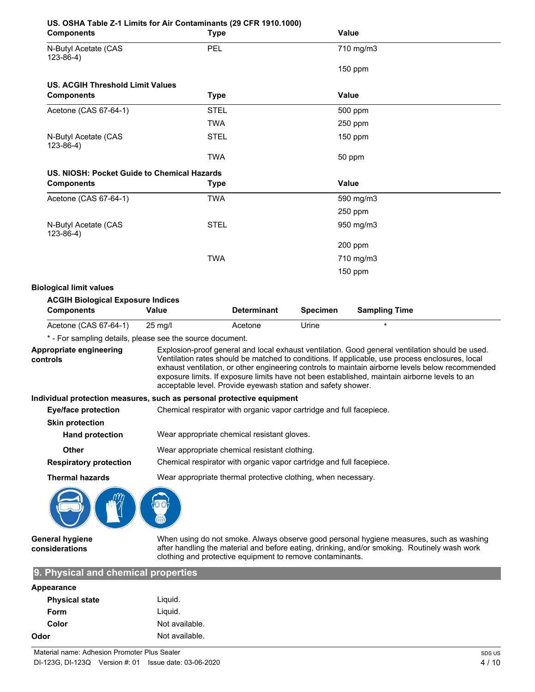| US. OSHA Table Z-1 Limits for Air Contaminants (29 CFR 1910.1000)<br><b>Components</b>   | <b>Type</b>                                                          |                    |                 | <b>Value</b>                                                                                                                                                                                                                                                                                                                                                                                            |
|------------------------------------------------------------------------------------------|----------------------------------------------------------------------|--------------------|-----------------|---------------------------------------------------------------------------------------------------------------------------------------------------------------------------------------------------------------------------------------------------------------------------------------------------------------------------------------------------------------------------------------------------------|
| N-Butyl Acetate (CAS<br>$123-86-4)$                                                      | <b>PEL</b>                                                           |                    |                 | 710 mg/m3                                                                                                                                                                                                                                                                                                                                                                                               |
|                                                                                          |                                                                      |                    |                 | $150$ ppm                                                                                                                                                                                                                                                                                                                                                                                               |
| <b>US. ACGIH Threshold Limit Values</b>                                                  |                                                                      |                    |                 |                                                                                                                                                                                                                                                                                                                                                                                                         |
| <b>Components</b>                                                                        | <b>Type</b>                                                          |                    |                 | <b>Value</b>                                                                                                                                                                                                                                                                                                                                                                                            |
| Acetone (CAS 67-64-1)                                                                    | <b>STEL</b>                                                          |                    |                 | 500 ppm                                                                                                                                                                                                                                                                                                                                                                                                 |
|                                                                                          | <b>TWA</b>                                                           |                    |                 | $250$ ppm                                                                                                                                                                                                                                                                                                                                                                                               |
| N-Butyl Acetate (CAS<br>$123 - 86 - 4$ )                                                 | <b>STEL</b>                                                          |                    |                 | $150$ ppm                                                                                                                                                                                                                                                                                                                                                                                               |
|                                                                                          | <b>TWA</b>                                                           |                    |                 | 50 ppm                                                                                                                                                                                                                                                                                                                                                                                                  |
| US. NIOSH: Pocket Guide to Chemical Hazards                                              |                                                                      |                    |                 |                                                                                                                                                                                                                                                                                                                                                                                                         |
| <b>Components</b>                                                                        | Type                                                                 |                    |                 | <b>Value</b>                                                                                                                                                                                                                                                                                                                                                                                            |
| Acetone (CAS 67-64-1)                                                                    | <b>TWA</b>                                                           |                    |                 | 590 mg/m3                                                                                                                                                                                                                                                                                                                                                                                               |
|                                                                                          |                                                                      |                    |                 | 250 ppm                                                                                                                                                                                                                                                                                                                                                                                                 |
| N-Butyl Acetate (CAS<br>$123-86-4)$                                                      | <b>STEL</b>                                                          |                    |                 | 950 mg/m3                                                                                                                                                                                                                                                                                                                                                                                               |
|                                                                                          |                                                                      |                    |                 | 200 ppm                                                                                                                                                                                                                                                                                                                                                                                                 |
|                                                                                          | <b>TWA</b>                                                           |                    |                 | 710 mg/m3                                                                                                                                                                                                                                                                                                                                                                                               |
|                                                                                          |                                                                      |                    |                 | $150$ ppm                                                                                                                                                                                                                                                                                                                                                                                               |
| <b>Biological limit values</b>                                                           |                                                                      |                    |                 |                                                                                                                                                                                                                                                                                                                                                                                                         |
| <b>ACGIH Biological Exposure Indices</b>                                                 |                                                                      |                    |                 |                                                                                                                                                                                                                                                                                                                                                                                                         |
| <b>Components</b>                                                                        | Value                                                                | <b>Determinant</b> | <b>Specimen</b> | <b>Sampling Time</b>                                                                                                                                                                                                                                                                                                                                                                                    |
| Acetone (CAS 67-64-1)                                                                    | $25$ mg/l                                                            | Acetone            | Urine           | $\star$                                                                                                                                                                                                                                                                                                                                                                                                 |
| * - For sampling details, please see the source document.                                |                                                                      |                    |                 |                                                                                                                                                                                                                                                                                                                                                                                                         |
| Appropriate engineering<br>controls                                                      | acceptable level. Provide eyewash station and safety shower.         |                    |                 | Explosion-proof general and local exhaust ventilation. Good general ventilation should be used.<br>Ventilation rates should be matched to conditions. If applicable, use process enclosures, local<br>exhaust ventilation, or other engineering controls to maintain airborne levels below recommended<br>exposure limits. If exposure limits have not been established, maintain airborne levels to an |
| Individual protection measures, such as personal protective equipment                    |                                                                      |                    |                 |                                                                                                                                                                                                                                                                                                                                                                                                         |
| Eye/face protection Chemical respirator with organic vapor cartridge and full facepiece. |                                                                      |                    |                 |                                                                                                                                                                                                                                                                                                                                                                                                         |
| <b>Skin protection</b>                                                                   |                                                                      |                    |                 |                                                                                                                                                                                                                                                                                                                                                                                                         |
| <b>Hand protection</b>                                                                   | Wear appropriate chemical resistant gloves.                          |                    |                 |                                                                                                                                                                                                                                                                                                                                                                                                         |
| <b>Other</b>                                                                             | Wear appropriate chemical resistant clothing.                        |                    |                 |                                                                                                                                                                                                                                                                                                                                                                                                         |
| <b>Respiratory protection</b>                                                            | Chemical respirator with organic vapor cartridge and full facepiece. |                    |                 |                                                                                                                                                                                                                                                                                                                                                                                                         |
| <b>Thermal hazards</b>                                                                   | Wear appropriate thermal protective clothing, when necessary.        |                    |                 |                                                                                                                                                                                                                                                                                                                                                                                                         |
|                                                                                          |                                                                      |                    |                 |                                                                                                                                                                                                                                                                                                                                                                                                         |

**General hygiene considerations**

When using do not smoke. Always observe good personal hygiene measures, such as washing after handling the material and before eating, drinking, and/or smoking. Routinely wash work clothing and protective equipment to remove contaminants.

# **9. Physical and chemical properties**

| Appearance            |                |
|-----------------------|----------------|
| <b>Physical state</b> | Liquid.        |
| Form                  | Liquid.        |
| Color                 | Not available. |
| Odor                  | Not available. |
|                       |                |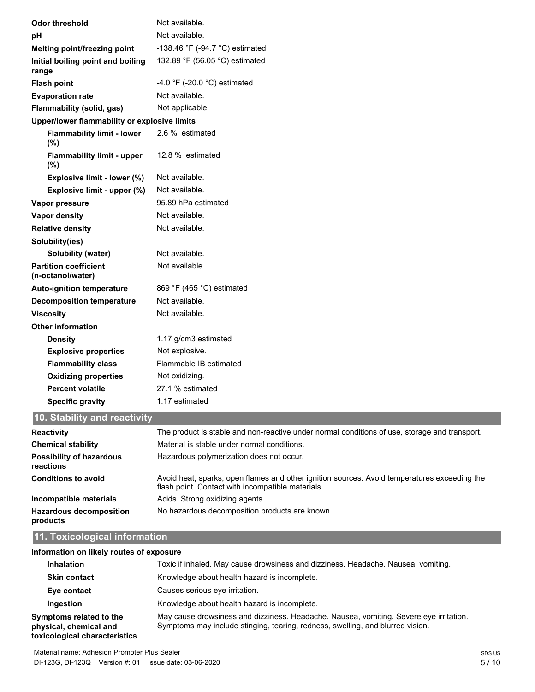| <b>Odor threshold</b>                             | Not available.                                                                               |  |  |
|---------------------------------------------------|----------------------------------------------------------------------------------------------|--|--|
| pH                                                | Not available.                                                                               |  |  |
| Melting point/freezing point                      | -138.46 °F (-94.7 °C) estimated                                                              |  |  |
| Initial boiling point and boiling<br>range        | 132.89 °F (56.05 °C) estimated                                                               |  |  |
| <b>Flash point</b>                                | -4.0 °F (-20.0 °C) estimated                                                                 |  |  |
| <b>Evaporation rate</b>                           | Not available.                                                                               |  |  |
| Flammability (solid, gas)                         | Not applicable.                                                                              |  |  |
| Upper/lower flammability or explosive limits      |                                                                                              |  |  |
| <b>Flammability limit - lower</b><br>(%)          | 2.6 % estimated                                                                              |  |  |
| <b>Flammability limit - upper</b><br>(%)          | 12.8 % estimated                                                                             |  |  |
| Explosive limit - lower (%)                       | Not available.                                                                               |  |  |
| Explosive limit - upper (%)                       | Not available.                                                                               |  |  |
| Vapor pressure                                    | 95.89 hPa estimated                                                                          |  |  |
| Vapor density                                     | Not available.                                                                               |  |  |
| <b>Relative density</b>                           | Not available.                                                                               |  |  |
| Solubility(ies)                                   |                                                                                              |  |  |
| Solubility (water)                                | Not available.                                                                               |  |  |
| <b>Partition coefficient</b><br>(n-octanol/water) | Not available.                                                                               |  |  |
| <b>Auto-ignition temperature</b>                  | 869 °F (465 °C) estimated                                                                    |  |  |
| <b>Decomposition temperature</b>                  | Not available.                                                                               |  |  |
| <b>Viscosity</b>                                  | Not available.                                                                               |  |  |
| <b>Other information</b>                          |                                                                                              |  |  |
| <b>Density</b>                                    | 1.17 g/cm3 estimated                                                                         |  |  |
| <b>Explosive properties</b>                       | Not explosive.                                                                               |  |  |
| <b>Flammability class</b>                         | Flammable IB estimated                                                                       |  |  |
| <b>Oxidizing properties</b>                       | Not oxidizing.                                                                               |  |  |
| <b>Percent volatile</b>                           | 27.1 % estimated                                                                             |  |  |
| <b>Specific gravity</b>                           | 1.17 estimated                                                                               |  |  |
| 10. Stability and reactivity                      |                                                                                              |  |  |
| <b>Donativity</b>                                 | The product is stable and nep reactive under permal conditions of use, sterage and transport |  |  |

| <b>Reactivity</b>                            | The product is stable and non-reactive under normal conditions of use, storage and transport.                                                     |
|----------------------------------------------|---------------------------------------------------------------------------------------------------------------------------------------------------|
| <b>Chemical stability</b>                    | Material is stable under normal conditions.                                                                                                       |
| <b>Possibility of hazardous</b><br>reactions | Hazardous polymerization does not occur.                                                                                                          |
| <b>Conditions to avoid</b>                   | Avoid heat, sparks, open flames and other ignition sources. Avoid temperatures exceeding the<br>flash point. Contact with incompatible materials. |
| Incompatible materials                       | Acids. Strong oxidizing agents.                                                                                                                   |
| <b>Hazardous decomposition</b><br>products   | No hazardous decomposition products are known.                                                                                                    |

# **11. Toxicological information**

### **Information on likely routes of exposure**

| <b>Inhalation</b>                                                                  | Toxic if inhaled. May cause drowsiness and dizziness. Headache. Nausea, vomiting.                                                                                        |
|------------------------------------------------------------------------------------|--------------------------------------------------------------------------------------------------------------------------------------------------------------------------|
| <b>Skin contact</b>                                                                | Knowledge about health hazard is incomplete.                                                                                                                             |
| Eye contact                                                                        | Causes serious eye irritation.                                                                                                                                           |
| Ingestion                                                                          | Knowledge about health hazard is incomplete.                                                                                                                             |
| Symptoms related to the<br>physical, chemical and<br>toxicological characteristics | May cause drowsiness and dizziness. Headache. Nausea, vomiting. Severe eye irritation.<br>Symptoms may include stinging, tearing, redness, swelling, and blurred vision. |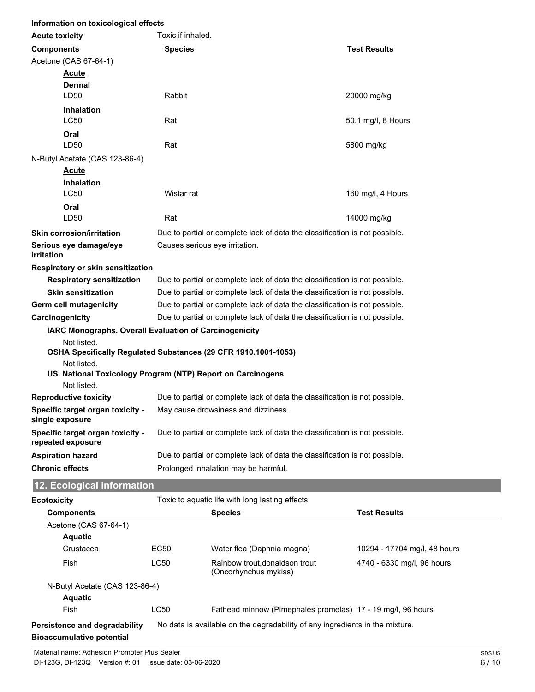| Information on toxicological effects                  |                                                                             |                     |  |
|-------------------------------------------------------|-----------------------------------------------------------------------------|---------------------|--|
| <b>Acute toxicity</b>                                 | Toxic if inhaled.                                                           |                     |  |
| <b>Components</b>                                     | <b>Species</b>                                                              | <b>Test Results</b> |  |
| Acetone (CAS 67-64-1)                                 |                                                                             |                     |  |
| <b>Acute</b>                                          |                                                                             |                     |  |
| <b>Dermal</b>                                         |                                                                             |                     |  |
| LD50                                                  | Rabbit                                                                      | 20000 mg/kg         |  |
| <b>Inhalation</b>                                     |                                                                             |                     |  |
| LC50                                                  | Rat                                                                         | 50.1 mg/l, 8 Hours  |  |
| Oral<br>LD50                                          |                                                                             |                     |  |
|                                                       | Rat                                                                         | 5800 mg/kg          |  |
| N-Butyl Acetate (CAS 123-86-4)                        |                                                                             |                     |  |
| <b>Acute</b><br><b>Inhalation</b>                     |                                                                             |                     |  |
| LC50                                                  | Wistar rat                                                                  | 160 mg/l, 4 Hours   |  |
| Oral                                                  |                                                                             |                     |  |
| LD50                                                  | Rat                                                                         | 14000 mg/kg         |  |
| <b>Skin corrosion/irritation</b>                      | Due to partial or complete lack of data the classification is not possible. |                     |  |
| Serious eye damage/eye                                | Causes serious eye irritation.                                              |                     |  |
| irritation                                            |                                                                             |                     |  |
| Respiratory or skin sensitization                     |                                                                             |                     |  |
| <b>Respiratory sensitization</b>                      | Due to partial or complete lack of data the classification is not possible. |                     |  |
| <b>Skin sensitization</b>                             | Due to partial or complete lack of data the classification is not possible. |                     |  |
| Germ cell mutagenicity                                | Due to partial or complete lack of data the classification is not possible. |                     |  |
| Carcinogenicity                                       | Due to partial or complete lack of data the classification is not possible. |                     |  |
|                                                       | IARC Monographs. Overall Evaluation of Carcinogenicity                      |                     |  |
| Not listed.                                           |                                                                             |                     |  |
| Not listed.                                           | OSHA Specifically Regulated Substances (29 CFR 1910.1001-1053)              |                     |  |
|                                                       | US. National Toxicology Program (NTP) Report on Carcinogens                 |                     |  |
| Not listed.                                           |                                                                             |                     |  |
| <b>Reproductive toxicity</b>                          | Due to partial or complete lack of data the classification is not possible. |                     |  |
| Specific target organ toxicity -<br>single exposure   | May cause drowsiness and dizziness.                                         |                     |  |
| Specific target organ toxicity -<br>repeated exposure | Due to partial or complete lack of data the classification is not possible. |                     |  |
| <b>Aspiration hazard</b>                              | Due to partial or complete lack of data the classification is not possible. |                     |  |
| <b>Chronic effects</b>                                | Prolonged inhalation may be harmful.                                        |                     |  |
| 12. Ecological information                            |                                                                             |                     |  |
| <b>Ecotoxicity</b>                                    | Toxic to aquatic life with long lasting effects.                            |                     |  |
| <b>Components</b>                                     | <b>Species</b>                                                              | <b>Test Results</b> |  |

| <b>Components</b>                |                  | <b>Species</b>                                                               | <b>Test Results</b>          |
|----------------------------------|------------------|------------------------------------------------------------------------------|------------------------------|
| Acetone (CAS 67-64-1)            |                  |                                                                              |                              |
| <b>Aquatic</b>                   |                  |                                                                              |                              |
| Crustacea                        | EC <sub>50</sub> | Water flea (Daphnia magna)                                                   | 10294 - 17704 mg/l, 48 hours |
| Fish                             | <b>LC50</b>      | Rainbow trout.donaldson trout<br>(Oncorhynchus mykiss)                       | 4740 - 6330 mg/l, 96 hours   |
| N-Butyl Acetate (CAS 123-86-4)   |                  |                                                                              |                              |
| <b>Aquatic</b>                   |                  |                                                                              |                              |
| Fish                             | <b>LC50</b>      | Fathead minnow (Pimephales promelas) 17 - 19 mg/l, 96 hours                  |                              |
| Persistence and degradability    |                  | No data is available on the degradability of any ingredients in the mixture. |                              |
| <b>Bioaccumulative potential</b> |                  |                                                                              |                              |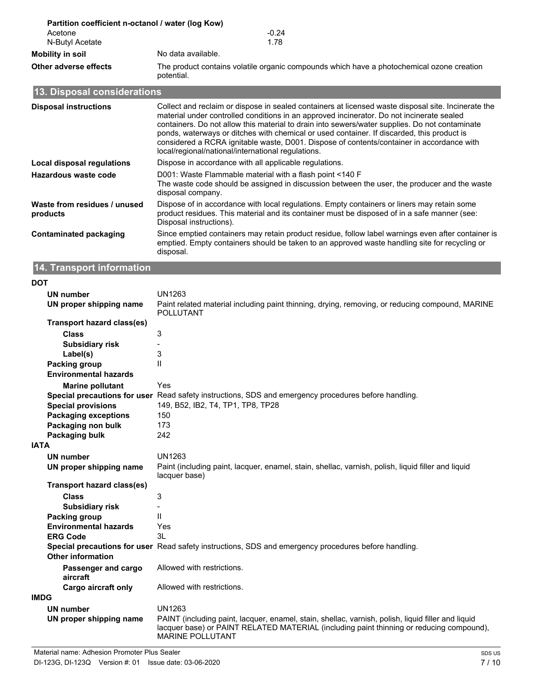|                       | Partition coefficient n-octanol / water (log Kow)                                                       |
|-----------------------|---------------------------------------------------------------------------------------------------------|
| Acetone               | $-0.24$                                                                                                 |
| N-Butyl Acetate       | 1.78                                                                                                    |
| Mobility in soil      | No data available.                                                                                      |
| Other adverse effects | The product contains volatile organic compounds which have a photochemical ozone creation<br>potential. |

# **13. Disposal considerations**

| <b>Disposal instructions</b>             | Collect and reclaim or dispose in sealed containers at licensed waste disposal site. Incinerate the<br>material under controlled conditions in an approved incinerator. Do not incinerate sealed<br>containers. Do not allow this material to drain into sewers/water supplies. Do not contaminate<br>ponds, waterways or ditches with chemical or used container. If discarded, this product is<br>considered a RCRA ignitable waste, D001. Dispose of contents/container in accordance with<br>local/regional/national/international regulations. |
|------------------------------------------|-----------------------------------------------------------------------------------------------------------------------------------------------------------------------------------------------------------------------------------------------------------------------------------------------------------------------------------------------------------------------------------------------------------------------------------------------------------------------------------------------------------------------------------------------------|
| Local disposal regulations               | Dispose in accordance with all applicable regulations.                                                                                                                                                                                                                                                                                                                                                                                                                                                                                              |
| Hazardous waste code                     | D001: Waste Flammable material with a flash point <140 F<br>The waste code should be assigned in discussion between the user, the producer and the waste<br>disposal company.                                                                                                                                                                                                                                                                                                                                                                       |
| Waste from residues / unused<br>products | Dispose of in accordance with local regulations. Empty containers or liners may retain some<br>product residues. This material and its container must be disposed of in a safe manner (see:<br>Disposal instructions).                                                                                                                                                                                                                                                                                                                              |
| <b>Contaminated packaging</b>            | Since emptied containers may retain product residue, follow label warnings even after container is<br>emptied. Empty containers should be taken to an approved waste handling site for recycling or<br>disposal.                                                                                                                                                                                                                                                                                                                                    |

# **14. Transport information**

| ٠<br>I<br>w<br>v |
|------------------|
|------------------|

| UN number                         | <b>UN1263</b>                                                                                                                                                                                                             |
|-----------------------------------|---------------------------------------------------------------------------------------------------------------------------------------------------------------------------------------------------------------------------|
| UN proper shipping name           | Paint related material including paint thinning, drying, removing, or reducing compound, MARINE<br><b>POLLUTANT</b>                                                                                                       |
| <b>Transport hazard class(es)</b> |                                                                                                                                                                                                                           |
| <b>Class</b>                      | 3                                                                                                                                                                                                                         |
| <b>Subsidiary risk</b>            |                                                                                                                                                                                                                           |
| Label(s)                          | 3                                                                                                                                                                                                                         |
| <b>Packing group</b>              | $\mathsf{I}$                                                                                                                                                                                                              |
| <b>Environmental hazards</b>      |                                                                                                                                                                                                                           |
| <b>Marine pollutant</b>           | Yes                                                                                                                                                                                                                       |
|                                   | Special precautions for user Read safety instructions, SDS and emergency procedures before handling.                                                                                                                      |
| <b>Special provisions</b>         | 149, B52, IB2, T4, TP1, TP8, TP28                                                                                                                                                                                         |
| <b>Packaging exceptions</b>       | 150                                                                                                                                                                                                                       |
| Packaging non bulk                | 173                                                                                                                                                                                                                       |
| Packaging bulk                    | 242                                                                                                                                                                                                                       |
| <b>IATA</b>                       |                                                                                                                                                                                                                           |
| <b>UN number</b>                  | <b>UN1263</b>                                                                                                                                                                                                             |
| UN proper shipping name           | Paint (including paint, lacquer, enamel, stain, shellac, varnish, polish, liquid filler and liquid<br>lacquer base)                                                                                                       |
| Transport hazard class(es)        |                                                                                                                                                                                                                           |
| <b>Class</b>                      | 3                                                                                                                                                                                                                         |
| <b>Subsidiary risk</b>            |                                                                                                                                                                                                                           |
| Packing group                     | $\mathbf{H}$                                                                                                                                                                                                              |
| <b>Environmental hazards</b>      | Yes                                                                                                                                                                                                                       |
| <b>ERG Code</b>                   | 3L                                                                                                                                                                                                                        |
| <b>Other information</b>          | Special precautions for user Read safety instructions, SDS and emergency procedures before handling.                                                                                                                      |
| Passenger and cargo<br>aircraft   | Allowed with restrictions.                                                                                                                                                                                                |
| <b>Cargo aircraft only</b>        | Allowed with restrictions.                                                                                                                                                                                                |
| IMDG                              |                                                                                                                                                                                                                           |
| <b>UN number</b>                  | <b>UN1263</b>                                                                                                                                                                                                             |
| UN proper shipping name           | PAINT (including paint, lacquer, enamel, stain, shellac, varnish, polish, liquid filler and liquid<br>lacquer base) or PAINT RELATED MATERIAL (including paint thinning or reducing compound),<br><b>MARINE POLLUTANT</b> |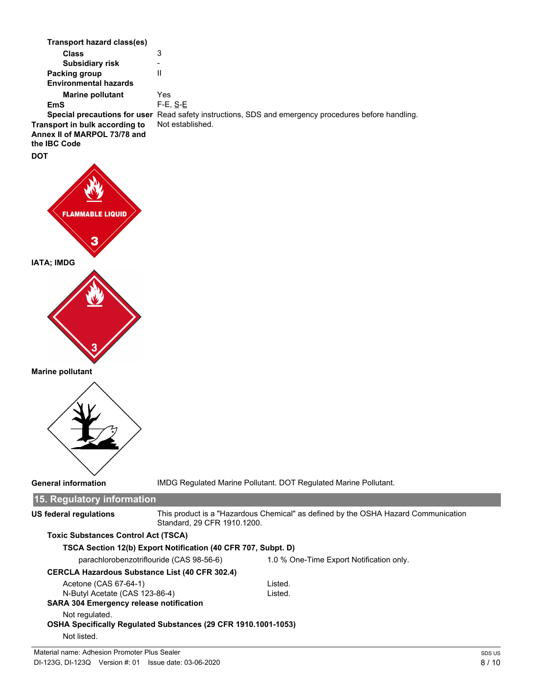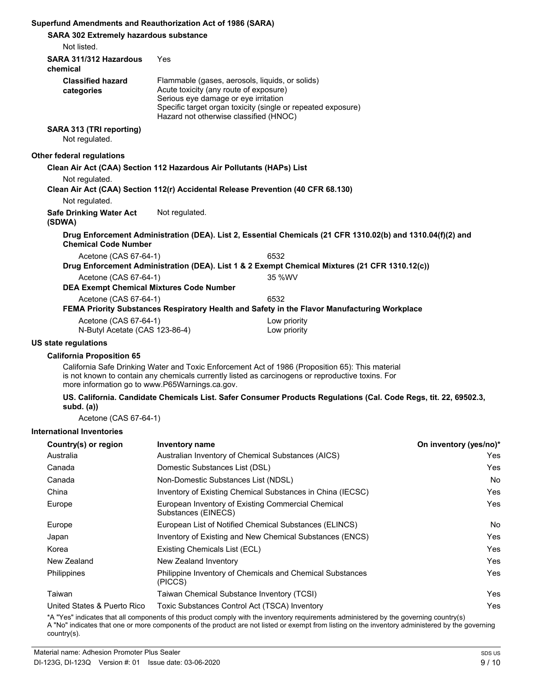#### **Superfund Amendments and Reauthorization Act of 1986 (SARA)**

| Superfund Amendments and Reauthorization Act of 1986 (SARA)                      |                                                                                                                                                                             |                                                                                                             |  |
|----------------------------------------------------------------------------------|-----------------------------------------------------------------------------------------------------------------------------------------------------------------------------|-------------------------------------------------------------------------------------------------------------|--|
| <b>SARA 302 Extremely hazardous substance</b>                                    |                                                                                                                                                                             |                                                                                                             |  |
| Not listed.                                                                      |                                                                                                                                                                             |                                                                                                             |  |
| SARA 311/312 Hazardous<br>chemical                                               | Yes                                                                                                                                                                         |                                                                                                             |  |
| <b>Classified hazard</b><br>categories                                           | Flammable (gases, aerosols, liquids, or solids)<br>Acute toxicity (any route of exposure)<br>Serious eve damage or eve irritation<br>Hazard not otherwise classified (HNOC) | Specific target organ toxicity (single or repeated exposure)                                                |  |
| SARA 313 (TRI reporting)<br>Not regulated.                                       |                                                                                                                                                                             |                                                                                                             |  |
| Other federal regulations                                                        |                                                                                                                                                                             |                                                                                                             |  |
| Clean Air Act (CAA) Section 112 Hazardous Air Pollutants (HAPs) List             |                                                                                                                                                                             |                                                                                                             |  |
| Not regulated.                                                                   |                                                                                                                                                                             |                                                                                                             |  |
| Clean Air Act (CAA) Section 112(r) Accidental Release Prevention (40 CFR 68.130) |                                                                                                                                                                             |                                                                                                             |  |
| Not regulated.                                                                   |                                                                                                                                                                             |                                                                                                             |  |
| <b>Safe Drinking Water Act</b><br>(SDWA)                                         | Not regulated.                                                                                                                                                              |                                                                                                             |  |
| <b>Chemical Code Number</b>                                                      |                                                                                                                                                                             | Drug Enforcement Administration (DEA). List 2, Essential Chemicals (21 CFR 1310.02(b) and 1310.04(f)(2) and |  |
| Acetone (CAS 67-64-1)                                                            |                                                                                                                                                                             | 6532                                                                                                        |  |
|                                                                                  |                                                                                                                                                                             | Drug Enforcement Administration (DEA). List 1 & 2 Exempt Chemical Mixtures (21 CFR 1310.12(c))              |  |
| Acetone (CAS 67-64-1)                                                            |                                                                                                                                                                             | 35 %WV                                                                                                      |  |
| <b>DEA Exempt Chemical Mixtures Code Number</b>                                  |                                                                                                                                                                             |                                                                                                             |  |
| Acetone (CAS 67-64-1)                                                            |                                                                                                                                                                             | 6532                                                                                                        |  |
|                                                                                  |                                                                                                                                                                             | FEMA Priority Substances Respiratory Health and Safety in the Flavor Manufacturing Workplace                |  |
| Acetone (CAS 67-64-1)<br>N-Butyl Acetate (CAS 123-86-4)                          |                                                                                                                                                                             | Low priority<br>Low priority                                                                                |  |
|                                                                                  |                                                                                                                                                                             |                                                                                                             |  |

#### **US state regulations**

#### **California Proposition 65**

California Safe Drinking Water and Toxic Enforcement Act of 1986 (Proposition 65): This material is not known to contain any chemicals currently listed as carcinogens or reproductive toxins. For more information go to www.P65Warnings.ca.gov.

#### US. California. Candidate Chemicals List. Safer Consumer Products Regulations (Cal. Code Regs, tit. 22, 69502.3, **subd. (a))**

Acetone (CAS 67-64-1)

#### **International Inventories**

| Country(s) or region        | <b>Inventory name</b>                                                     | On inventory (yes/no)* |
|-----------------------------|---------------------------------------------------------------------------|------------------------|
| Australia                   | Australian Inventory of Chemical Substances (AICS)                        | Yes.                   |
| Canada                      | Domestic Substances List (DSL)                                            | Yes                    |
| Canada                      | Non-Domestic Substances List (NDSL)                                       | No.                    |
| China                       | Inventory of Existing Chemical Substances in China (IECSC)                | Yes                    |
| Europe                      | European Inventory of Existing Commercial Chemical<br>Substances (EINECS) | Yes                    |
| Europe                      | European List of Notified Chemical Substances (ELINCS)                    | No.                    |
| Japan                       | Inventory of Existing and New Chemical Substances (ENCS)                  | Yes                    |
| Korea                       | Existing Chemicals List (ECL)                                             | Yes                    |
| New Zealand                 | New Zealand Inventory                                                     | Yes.                   |
| Philippines                 | Philippine Inventory of Chemicals and Chemical Substances<br>(PICCS)      | Yes                    |
| Taiwan                      | Taiwan Chemical Substance Inventory (TCSI)                                | Yes                    |
| United States & Puerto Rico | Toxic Substances Control Act (TSCA) Inventory                             | Yes.                   |

\*A "Yes" indicates that all components of this product comply with the inventory requirements administered by the governing country(s) A "No" indicates that one or more components of the product are not listed or exempt from listing on the inventory administered by the governing country(s).